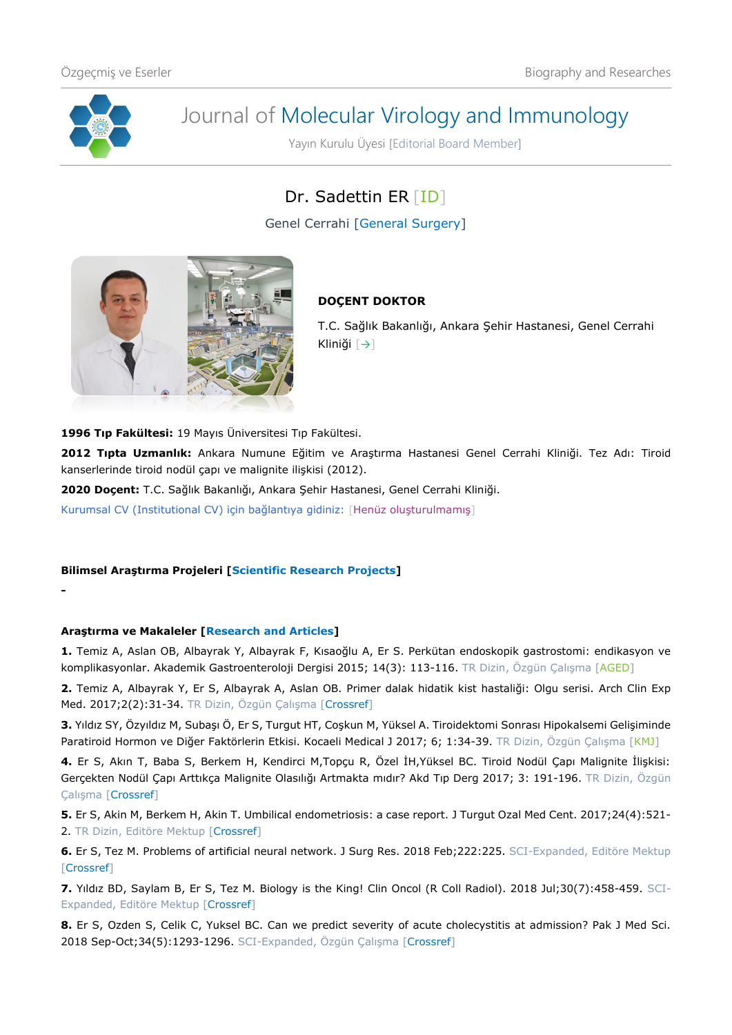

**-**

# Journal of Molecular Virology and Immunology

Yayın Kurulu Üyesi [Editorial Board Member]

# Dr. Sadettin ER [\[ID\]](https://orcid.org/0000-0003-0712-3153)

Genel Cerrahi [General Surgery]



## **DOÇENT DOKTOR**

T.C. Sağlık Bakanlığı, Ankara Şehir Hastanesi, Genel Cerrahi Kliniği [[→](https://ankarasehir.saglik.gov.tr/TR,435613/op-dr-sadettin-er.html)]

**1996 Tıp Fakültesi:** 19 Mayıs Üniversitesi Tıp Fakültesi.

**2012 Tıpta Uzmanlık:** Ankara Numune Eğitim ve Araştırma Hastanesi Genel Cerrahi Kliniği. Tez Adı: Tiroid kanserlerinde tiroid nodül çapı ve malignite ilişkisi (2012).

**2020 Doçent:** T.C. Sağlık Bakanlığı, Ankara Şehir Hastanesi, Genel Cerrahi Kliniği.

Kurumsal CV (Institutional CV) için bağlantıya gidiniz: [Henüz oluşturulmamış]

### **Bilimsel Araştırma Projeleri [Scientific Research Projects]**

### **Araştırma ve Makaleler [Research and Articles]**

**1.** Temiz A, Aslan OB, Albayrak Y, Albayrak F, Kısaoğlu A, Er S. Perkütan endoskopik gastrostomi: endikasyon ve komplikasyonlar. Akademik Gastroenteroloji Dergisi 2015; 14(3): 113-116. TR Dizin, Özgün Çalışma [[AGED\]](http://akademik.tgv.org.tr/journal/42/pdf/538.pdf)

**2.** Temiz A, Albayrak Y, Er S, Albayrak A, Aslan OB. Primer dalak hidatik kist hastaliği: Olgu serisi. Arch Clin Exp Med. 2017;2(2):31-34. TR Dizin, Özgün Çalışma [\[Crossref\]](https://doi.org/10.25000/acem.302081)

**3.** Yıldız SY, Özyıldız M, Subaşı Ö, Er S, Turgut HT, Coşkun M, Yüksel A. Tiroidektomi Sonrası Hipokalsemi Gelişiminde Paratiroid Hormon ve Diğer Faktörlerin Etkisi. Kocaeli Medical J 2017; 6; 1:34-39. TR Dizin, Özgün Çalışma [[KMJ\]](https://www.journalagent.com/kocaelitip/pdfs/KTD-94830-RESEARCH_ARTICLE-SUBASI.pdf)

**4.** Er S, Akın T, Baba S, Berkem H, Kendirci M,Topçu R, Özel İH,Yüksel BC. Tiroid Nodül Çapı Malignite İlişkisi: Gerçekten Nodül Çapı Arttıkça Malignite Olasılığı Artmakta mıdır? Akd Tıp Derg 2017; 3: 191-196. TR Dizin, Özgün Çalışma [\[Crossref\]](https://doi.org/10.17954/amj.2017.93)

**5.** Er S, Akin M, Berkem H, Akin T. Umbilical endometriosis: a case report. J Turgut Ozal Med Cent. 2017;24(4):521- 2. TR Dizin, Editöre Mektup [\[Crossref\]](https://doi.org/10.5455/jtomc.2017.10.126)

**6.** Er S, Tez M. [Problems of artificial neural network.](https://www.ncbi.nlm.nih.gov/pubmed/28807327) J Surg Res. 2018 Feb;222:225. SCI-Expanded, Editöre Mektup [\[Crossref\]](https://doi.org/10.1016/j.jss.2017.07.017)

**7.** Yıldız BD, Saylam B, Er S, Tez M. Biology is the King! Clin Oncol (R Coll Radiol). 2018 Jul;30(7):458-459. SCI-Expanded, Editöre Mektup [\[Crossref\]](https://doi.org/10.1016/j.clon.2018.03.010)

**8.** Er S, Ozden S, Celik C, Yuksel BC. Can we predict severity of acute cholecystitis at admission? Pak J Med Sci. 2018 Sep-Oct;34(5):1293-1296. SCI-Expanded, Özgün Çalışma [\[Crossref\]](https://doi.org/10.12669/pjms.345.14502)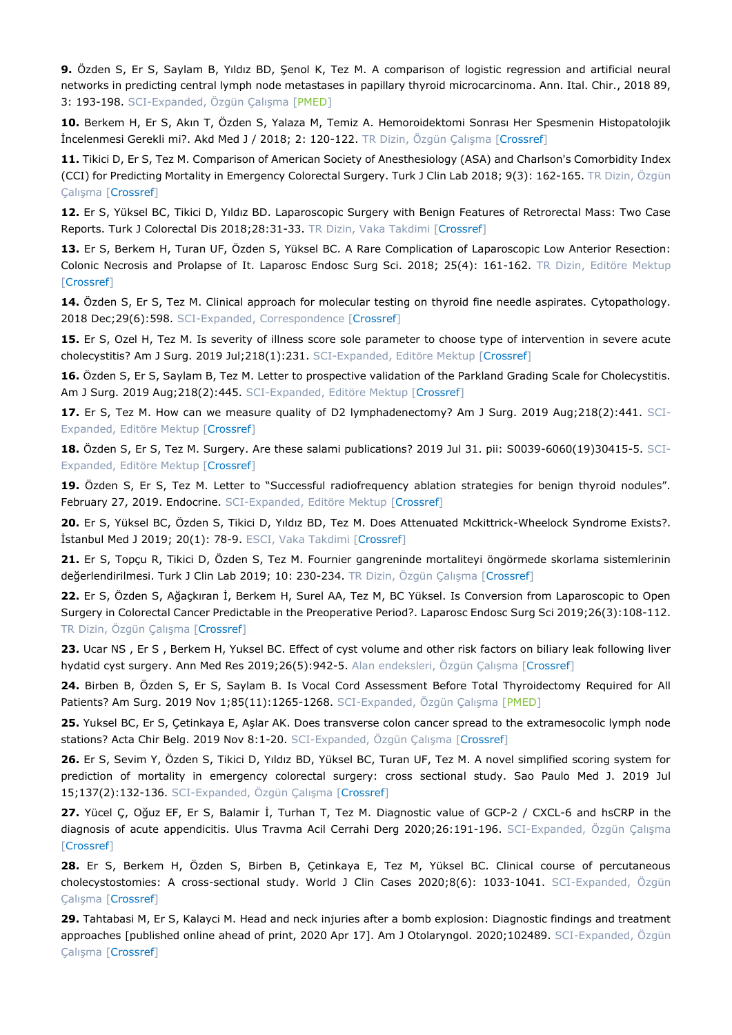**9.** Özden S, Er S, Saylam B, Yıldız BD, Şenol K, Tez M. A comparison of logistic regression and artificial neural networks in predicting central lymph node metastases in papillary thyroid microcarcinoma. Ann. Ital. Chir., 2018 89, 3: 193-198. SCI-Expanded, Özgün Çalışma [\[PMED\]](https://pubmed.ncbi.nlm.nih.gov/30588918/)

**10.** Berkem H, Er S, Akın T, Özden S, Yalaza M, Temiz A. Hemoroidektomi Sonrası Her Spesmenin Histopatolojik İncelenmesi Gerekli mi?. Akd Med J / 2018; 2: 120-122. TR Dizin, Özgün Çalışma [\[Crossref\]](https://doi.org/10.17954/amj.2018.107)

**11.** Tikici D, Er S, Tez M. Comparison of American Society of Anesthesiology (ASA) and Charlson's Comorbidity Index (CCI) for Predicting Mortality in Emergency Colorectal Surgery. Turk J Clin Lab 2018; 9(3): 162-165. TR Dizin, Özgün Çalışma [\[Crossref\]](https://doi.org/10.18663/tjcl.450882)

**12.** Er S, Yüksel BC, Tikici D, Yıldız BD. Laparoscopic Surgery with Benign Features of Retrorectal Mass: Two Case Reports. Turk J Colorectal Dis 2018;28:31-33. TR Dizin, Vaka Takdimi [\[Crossref\]](https://doi.org/10.4274/tjcd.57625)

**13.** Er S, Berkem H, Turan UF, Özden S, Yüksel BC. A Rare Complication of Laparoscopic Low Anterior Resection: Colonic Necrosis and Prolapse of It. Laparosc Endosc Surg Sci. 2018; 25(4): 161-162. TR Dizin, Editöre Mektup [\[Crossref\]](https://doi.org/10.14744/less.2018.98700)

**14.** Özden S, Er S, Tez M. Clinical approach for molecular testing on thyroid fine needle aspirates. Cytopathology. 2018 Dec;29(6):598. SCI-Expanded, Correspondence [\[Crossref\]](https://doi.org/10.1111/cyt.12621)

**15.** Er S, Ozel H, Tez M. Is severity of illness score sole parameter to choose type of intervention in severe acute cholecystitis? Am J Surg. 2019 Jul;218(1):231. SCI-Expanded, Editöre Mektup [\[Crossref\]](https://doi.org/10.1016/j.amjsurg.2018.06.024)

**16.** Özden S, Er S, Saylam B, Tez M. Letter to prospective validation of the Parkland Grading Scale for Cholecystitis. Am J Surg. 2019 Aug; 218(2): 445. SCI-Expanded, Editöre Mektup [\[Crossref\]](https://doi.org/10.1016/j.amjsurg.2018.09.032)

17. Er S, Tez M. How can we measure quality of D2 lymphadenectomy? Am J Surg. 2019 Aug;218(2):441. SCI-Expanded, Editöre Mektup [\[Crossref\]](https://doi.org/10.1016/j.amjsurg.2018.09.008)

**18.** Özden S, Er S, Tez M. Surgery. Are these salami publications? 2019 Jul 31. pii: S0039-6060(19)30415-5. SCI-Expanded, Editöre Mektup [\[Crossref\]](https://doi.org/10.1016/j.surg.2019.05.067)

**19.** Özden S, Er S, Tez M. Letter to "Successful radiofrequency ablation strategies for benign thyroid nodules". February 27, 2019. Endocrine. SCI-Expanded, Editöre Mektup [\[Crossref\]](https://doi.org/10.1007/s12020-019-01879-z)

**20.** Er S, Yüksel BC, Özden S, Tikici D, Yıldız BD, Tez M. Does Attenuated Mckittrick-Wheelock Syndrome Exists?. İstanbul Med J 2019; 20(1): 78-9. ESCI, Vaka Takdimi [\[Crossref\]](https://doi.org/10.4274/imj.galenos.2018.04764)

**21.** Er S, Topçu R, Tikici D, Özden S, Tez M. Fournier gangreninde mortaliteyi öngörmede skorlama sistemlerinin değerlendirilmesi. Turk J Clin Lab 2019; 10: 230-234. TR Dizin, Özgün Calısma [\[Crossref\]](https://doi.org/10.18663/tjcl.542072)

**22.** Er S, Özden S, Ağaçkıran İ, Berkem H, Surel AA, Tez M, BC Yüksel. Is Conversion from Laparoscopic to Open Surgery in Colorectal Cancer Predictable in the Preoperative Period?. Laparosc Endosc Surg Sci 2019;26(3):108-112. TR Dizin, Özgün Çalışma [\[Crossref\]](https://doi.org/10.14744/less.2019.21548)

**23.** Ucar NS , Er S , Berkem H, Yuksel BC. Effect of cyst volume and other risk factors on biliary leak following liver hydatid cyst surgery. Ann Med Res 2019;26(5):942-5. Alan endeksleri, Özgün Çalışma [\[Crossref\]](https://doi.org/10.5455/annalsmedres.2019.02.083)

**24.** Birben B, Özden S, Er S, Saylam B. Is Vocal Cord Assessment Before Total Thyroidectomy Required for All Patients? Am Surg. 2019 Nov 1;85(11):1265-1268. SCI-Expanded, Özgün Çalışma [\[PMED\]](https://pubmed.ncbi.nlm.nih.gov/31775969/)

**25.** Yuksel BC, Er S, Çetinkaya E, Aşlar AK. Does transverse colon cancer spread to the extramesocolic lymph node stations? Acta Chir Belg. 2019 Nov 8:1-20. SCI-Expanded, Özgün Çalışma [\[Crossref\]](https://doi.org/10.1080/00015458.2019.1689642)

**26.** Er S, Sevim Y, Özden S, Tikici D, Yıldız BD, Yüksel BC, Turan UF, Tez M. A novel simplified scoring system for prediction of mortality in emergency colorectal surgery: cross sectional study. Sao Paulo Med J. 2019 Jul 15;137(2):132-136. SCI-Expanded, Özgün Çalışma [\[Crossref\]](https://doi.org/10.1590/1516-3180.2018.0316240119)

**27.** Yücel Ç, Oğuz EF, Er S, Balamir İ, Turhan T, Tez M. Diagnostic value of GCP-2 / CXCL-6 and hsCRP in the diagnosis of acute appendicitis. Ulus Travma Acil Cerrahi Derg 2020;26:191-196. SCI-Expanded, Özgün Çalışma [\[Crossref\]](https://doi.org/10.14744/tjtes.2019.26270)

**28.** Er S, Berkem H, Özden S, Birben B, Çetinkaya E, Tez M, Yüksel BC. Clinical course of percutaneous cholecystostomies: A cross-sectional study. World J Clin Cases 2020;8(6): 1033-1041. SCI-Expanded, Özgün Çalışma [\[Crossref\]](https://doi.org/10.12998/wjcc.v8.i6.1033)

**29.** Tahtabasi M, Er S, Kalayci M. Head and neck injuries after a bomb explosion: Diagnostic findings and treatment approaches [published online ahead of print, 2020 Apr 17]. Am J Otolaryngol. 2020;102489. SCI-Expanded, Özgün Çalışma [\[Crossref\]](https://doi.org/10.1016/j.amjoto.2020.102489)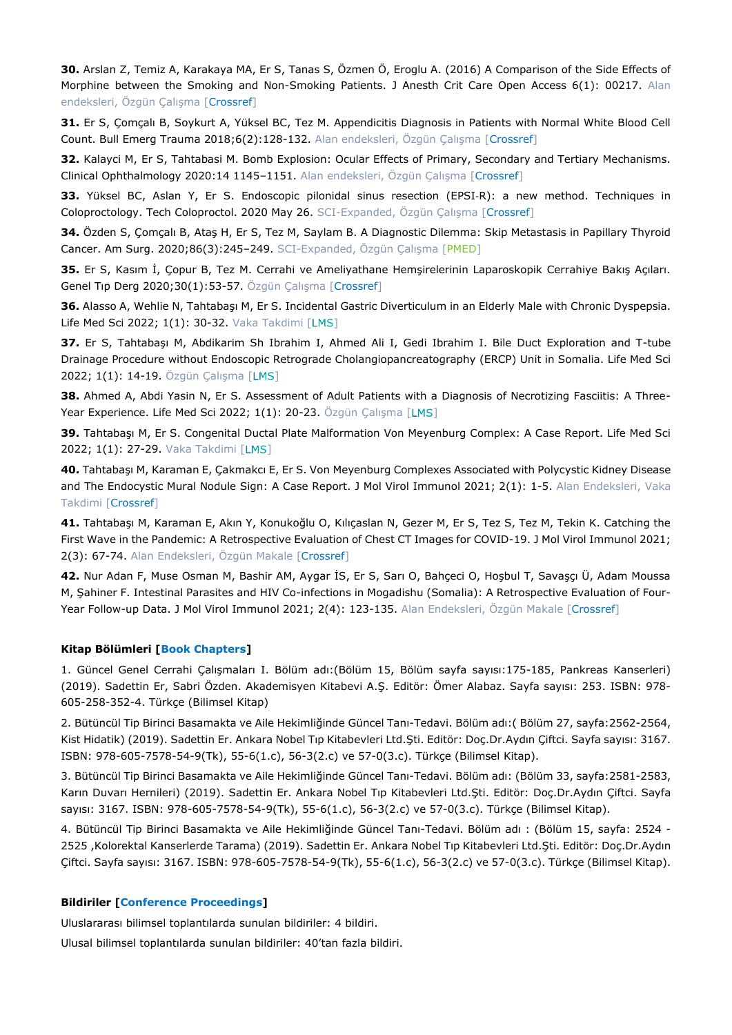**30.** Arslan Z, Temiz A, Karakaya MA, Er S, Tanas S, Özmen Ö, Eroglu A. (2016) A Comparison of the Side Effects of Morphine between the Smoking and Non-Smoking Patients. J Anesth Crit Care Open Access 6(1): 00217. Alan endeksleri, Özgün Çalışma [\[Crossref\]](https://doi.org/10.15406/jaccoa.2016.06.00217)

**31.** Er S, Çomçalı B, Soykurt A, Yüksel BC, Tez M. Appendicitis Diagnosis in Patients with Normal White Blood Cell Count. Bull Emerg Trauma 2018;6(2):128-132. Alan endeksleri, Özgün Çalışma [\[Crossref\]](https://doi.org/10.29252/beat-060207)

**32.** Kalayci M, Er S, Tahtabasi M. Bomb Explosion: Ocular Effects of Primary, Secondary and Tertiary Mechanisms. Clinical Ophthalmology 2020:14 1145–1151. Alan endeksleri, Özgün Çalışma [\[Crossref\]](https://doi.org/10.2147/OPTH.S253438)

**33.** Yüksel BC, Aslan Y, Er S. Endoscopic pilonidal sinus resection (EPSI-R): a new method. Techniques in Coloproctology. Tech Coloproctol. 2020 May 26. SCI-Expanded, Özgün Çalışma [\[Crossref\]](https://doi.org/10.1007/s10151-020-02243-4)

**34.** Özden S, Çomçalı B, Ataş H, Er S, Tez M, Saylam B. A Diagnostic Dilemma: Skip Metastasis in Papillary Thyroid Cancer. Am Surg. 2020;86(3):245–249. SCI-Expanded, Özgün Çalışma [\[PMED\]](https://pubmed.ncbi.nlm.nih.gov/32223805/)

**35.** Er S, Kasım İ, Çopur B, Tez M. Cerrahi ve Ameliyathane Hemşirelerinin Laparoskopik Cerrahiye Bakış Açıları. Genel Tıp Derg 2020;30(1):53-57. Özgün Çalışma [\[Crossref\]](https://doi.org/10.15321/GenelTipDer.2020159094)

**36.** Alasso A, Wehlie N, Tahtabaşı M, Er S. Incidental Gastric Diverticulum in an Elderly Male with Chronic Dyspepsia. Life Med Sci 2022; 1(1): 30-32. Vaka Takdimi [\[](http://tibbiviroloji.com/life.medical/A/2022/1/oz/6.htm)LMS]

**37.** Er S, Tahtabaşı M, Abdikarim Sh Ibrahim I, Ahmed Ali I, Gedi Ibrahim I. Bile Duct Exploration and T-tube Drainage Procedure without Endoscopic Retrograde Cholangiopancreatography (ERCP) Unit in Somalia. Life Med Sci 2022; 1(1): 14-19. Özgün Çalışma [LMS[\]](http://tibbiviroloji.com/life.medical/A/2022/1/oz/2.htm)

**38.** Ahmed A, Abdi Yasin N, Er S. Assessment of Adult Patients with a Diagnosis of Necrotizing Fasciitis: A Three-Year Experience. Life Med Sci 2022; 1(1): 20-23. Özgün Çalışma [\[](http://tibbiviroloji.com/life.medical/A/2022/1/oz/3.htm)LMS]

**39.** Tahtabaşı M, Er S. Congenital Ductal Plate Malformation Von Meyenburg Complex: A Case Report. Life Med Sci 2022; 1(1): 27-29. Vaka Takdimi [\[](http://tibbiviroloji.com/life.medical/A/2022/1/oz/5.htm)LMS]

**40.** Tahtabaşı M, Karaman E, Çakmakcı E, Er S. Von Meyenburg Complexes Associated with Polycystic Kidney Disease and The Endocystic Mural Nodule Sign: A Case Report. J Mol Virol Immunol 2021; 2(1): 1-5. Alan Endeksleri, Vaka Takdimi [\[Crossref\]](https://doi.org/10.46683/jmvi.2021.23)

**41.** Tahtabaşı M, Karaman E, Akın Y, Konukoğlu O, Kılıçaslan N, Gezer M, Er S, Tez S, Tez M, Tekin K. Catching the First Wave in the Pandemic: A Retrospective Evaluation of Chest CT Images for COVID-19. J Mol Virol Immunol 2021; 2(3): 67-74. Alan Endeksleri, Özgün Makale [\[Crossref\]](https://doi.org/10.46683/jmvi.2021.33)

**42.** Nur Adan F, Muse Osman M, Bashir AM, Aygar İS, Er S, Sarı O, Bahçeci O, Hoşbul T, Savaşçı Ü, Adam Moussa M, Şahiner F. Intestinal Parasites and HIV Co-infections in Mogadishu (Somalia): A Retrospective Evaluation of Four-Year Follow-up Data. J Mol Virol Immunol 2021; 2(4): 123-135. Alan Endeksleri, Özgün Makale [\[Crossref\]](https://doi.org/10.46683/jmvi.2021.39)

#### **Kitap Bölümleri [Book Chapters]**

1. Güncel Genel Cerrahi Çalışmaları I. Bölüm adı:(Bölüm 15, Bölüm sayfa sayısı:175-185, Pankreas Kanserleri) (2019). Sadettin Er, Sabri Özden. Akademisyen Kitabevi A.Ş. Editör: Ömer Alabaz. Sayfa sayısı: 253. ISBN: 978- 605-258-352-4. Türkçe (Bilimsel Kitap)

2. Bütüncül Tip Birinci Basamakta ve Aile Hekimliğinde Güncel Tanı-Tedavi. Bölüm adı:( Bölüm 27, sayfa:2562-2564, Kist Hidatik) (2019). Sadettin Er. Ankara Nobel Tıp Kitabevleri Ltd.Şti. Editör: Doç.Dr.Aydın Çiftci. Sayfa sayısı: 3167. ISBN: 978-605-7578-54-9(Tk), 55-6(1.c), 56-3(2.c) ve 57-0(3.c). Türkçe (Bilimsel Kitap).

3. Bütüncül Tip Birinci Basamakta ve Aile Hekimliğinde Güncel Tanı-Tedavi. Bölüm adı: (Bölüm 33, sayfa:2581-2583, Karın Duvarı Hernileri) (2019). Sadettin Er. Ankara Nobel Tıp Kitabevleri Ltd.Şti. Editör: Doç.Dr.Aydın Çiftci. Sayfa sayısı: 3167. ISBN: 978-605-7578-54-9(Tk), 55-6(1.c), 56-3(2.c) ve 57-0(3.c). Türkçe (Bilimsel Kitap).

4. Bütüncül Tip Birinci Basamakta ve Aile Hekimliğinde Güncel Tanı-Tedavi. Bölüm adı : (Bölüm 15, sayfa: 2524 - 2525 ,Kolorektal Kanserlerde Tarama) (2019). Sadettin Er. Ankara Nobel Tıp Kitabevleri Ltd.Şti. Editör: Doç.Dr.Aydın Çiftci. Sayfa sayısı: 3167. ISBN: 978-605-7578-54-9(Tk), 55-6(1.c), 56-3(2.c) ve 57-0(3.c). Türkçe (Bilimsel Kitap).

#### **Bildiriler [Conference Proceedings]**

Uluslararası bilimsel toplantılarda sunulan bildiriler: 4 bildiri.

Ulusal bilimsel toplantılarda sunulan bildiriler: 40'tan fazla bildiri.